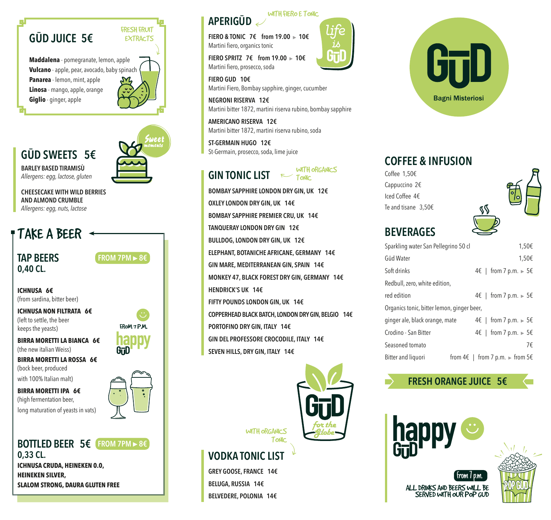## **GŪD JUICE 5€**

**Maddalena** - pomegranate, lemon, apple **Vulcano** - apple, pear, avocado, baby spinach **Panarea** - lemon, mint, apple **Linosa** - mango, apple, orange **Giglio** - ginger, apple

**GŪD SWEETS 5€** 

**BARLEY BASED TIRAMISÙ** *Allergens: egg, lactose, gluten*

**CHEESECAKE WITH WILD BERRIES AND ALMOND CRUMBLE** *Allergens: egg, nuts, lactose*

TAKE A BEER

**TAP BEERS 0,40 CL.** 

**FROM 7PM ► 8€** 

**ICHNUSA 6€** (from sardina, bitter beer)

**ICHNUSA NON FILTRATA 6€** (left to settle, the beer keeps the yeasts)

**BIRRA MORETTI LA BIANCA 6€**  (the new italian Weiss)

**BIRRA MORETTI LA ROSSA 6€** (bock beer, produced with 100% Italian malt)

**BIRRA MORETTI IPA 6€** (high fermentation beer, long maturation of yeasts in vats)



FROM 7 P.M.

FRESH FRUIT **EXTRACTS** 

## **BOTTLED BEER 5€ FROM 7PM 8€**

**0,33 CL. ICHNUSA CRUDA, HEINEKEN 0.0, HEINEKEN SILVER, SLALOM STRONG, DAURA GLUTEN FREE**

## **APERIGŪD**

**FIERO & TONIC 7€ from 19.00 ▶ 10€** Martini fiero, organics tonic

**FIERO SPRITZ 7€ from 19.00 ► 10€** Martini fiero, prosecco, soda

**FIERO GUD 10€** Martini Fiero, Bombay sapphire, ginger, cucumber

**NEGRONI RISERVA 12€** Martini bitter 1872, martini riserva rubino, bombay sapphire

WITH FIERO E TONIC

**AMERICANO RISERVA 12€** Martini bitter 1872, martini riserva rubino, soda

**ST-GERMAIN HUGO 12€** St-Germain, prosecco, soda, lime juice

## **GIN TONIC LIST**



**BOMBAY SAPPHIRE LONDON DRY GIN, UK 12€ OXLEY LONDON DRY GIN, UK 14€ BOMBAY SAPPHIRE PREMIER CRU, UK 14€ TANQUERAY LONDON DRY GIN 12€ BULLDOG, LONDON DRY GIN, UK 12€ ELEPHANT, BOTANICHE AFRICANE, GERMANY 14€ GIN MARE, MEDITERRANEAN GIN, SPAIN 14€ MONKEY 47, BLACK FOREST DRY GIN, GERMANY 14€ HENDRICK'S UK 14€ FIFTY POUNDS LONDON GIN, UK 14€ COPPERHEAD BLACK BATCH, LONDON DRY GIN, BELGIO 14€ PORTOFINO DRY GIN, ITALY 14€ GIN DEL PROFESSORE CROCODILE, ITALY 14€ SEVEN HILLS, DRY GIN, ITALY 14€**



WITH ORGANICS **TONIC** 

## **VODKA TONIC LIST**

**GREY GOOSE, FRANCE 14€ BELUGA, RUSSIA 14€ BELVEDERE, POLONIA 14€**





## **COFFEE & INFUSION**

Coffee 1,50€ Cappuccino 2€ Iced Coffee 4€ Te and tisane 3,50€



## **BEVERAGES**

| Sparkling water San Pellegrino 50 cl       | 1,50€                                                               |
|--------------------------------------------|---------------------------------------------------------------------|
| Gūd Water                                  | 1,50€                                                               |
| Soft drinks                                | $4 \in$   from 7 p.m. ► 5 $\in$                                     |
| Redbull, zero, white edition,              |                                                                     |
| red edition                                | $4 \in$   from 7 p.m. ► 5 $\in$                                     |
| Organics tonic, bitter lemon, ginger beer, |                                                                     |
| ginger ale, black orange, mate             | $4 \in$   from 7 p.m. ► 5 $\in$                                     |
| Crodino - San Bitter                       | $4 \in$   from 7 p.m. ► 5 $\in$                                     |
| Seasoned tomato                            | 7€                                                                  |
| <b>Bitter and liquori</b>                  | from $4 \in \dagger$ from 7 p.m. $\blacktriangleright$ from $5 \in$ |





ALL DRINKS AND BEERS WILL BE SERVED WITH OUR POP GUD